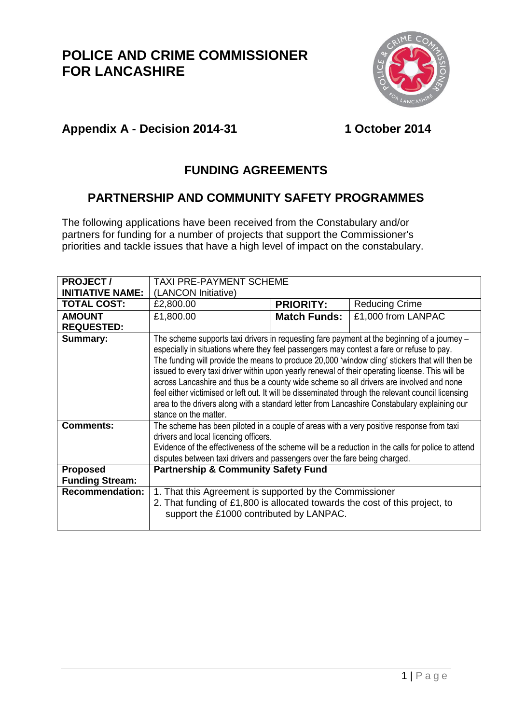

#### **Appendix A - Decision 2014-31 1 October 2014**

### **FUNDING AGREEMENTS**

#### **PARTNERSHIP AND COMMUNITY SAFETY PROGRAMMES**

The following applications have been received from the Constabulary and/or partners for funding for a number of projects that support the Commissioner's priorities and tackle issues that have a high level of impact on the constabulary.

| <b>PROJECT/</b>         | <b>TAXI PRE-PAYMENT SCHEME</b>                                                                                                                                                                                                                                                                                                                                                                                                                                                                                                                                                                                                                                                                                         |                     |                       |
|-------------------------|------------------------------------------------------------------------------------------------------------------------------------------------------------------------------------------------------------------------------------------------------------------------------------------------------------------------------------------------------------------------------------------------------------------------------------------------------------------------------------------------------------------------------------------------------------------------------------------------------------------------------------------------------------------------------------------------------------------------|---------------------|-----------------------|
| <b>INITIATIVE NAME:</b> | (LANCON Initiative)                                                                                                                                                                                                                                                                                                                                                                                                                                                                                                                                                                                                                                                                                                    |                     |                       |
| <b>TOTAL COST:</b>      | £2,800.00                                                                                                                                                                                                                                                                                                                                                                                                                                                                                                                                                                                                                                                                                                              | <b>PRIORITY:</b>    | <b>Reducing Crime</b> |
| <b>AMOUNT</b>           | £1,800.00                                                                                                                                                                                                                                                                                                                                                                                                                                                                                                                                                                                                                                                                                                              | <b>Match Funds:</b> | £1,000 from LANPAC    |
| <b>REQUESTED:</b>       |                                                                                                                                                                                                                                                                                                                                                                                                                                                                                                                                                                                                                                                                                                                        |                     |                       |
| <b>Summary:</b>         | The scheme supports taxi drivers in requesting fare payment at the beginning of a journey -<br>especially in situations where they feel passengers may contest a fare or refuse to pay.<br>The funding will provide the means to produce 20,000 'window cling' stickers that will then be<br>issued to every taxi driver within upon yearly renewal of their operating license. This will be<br>across Lancashire and thus be a county wide scheme so all drivers are involved and none<br>feel either victimised or left out. It will be disseminated through the relevant council licensing<br>area to the drivers along with a standard letter from Lancashire Constabulary explaining our<br>stance on the matter. |                     |                       |
| <b>Comments:</b>        | The scheme has been piloted in a couple of areas with a very positive response from taxi<br>drivers and local licencing officers.<br>Evidence of the effectiveness of the scheme will be a reduction in the calls for police to attend<br>disputes between taxi drivers and passengers over the fare being charged.                                                                                                                                                                                                                                                                                                                                                                                                    |                     |                       |
| <b>Proposed</b>         | <b>Partnership &amp; Community Safety Fund</b>                                                                                                                                                                                                                                                                                                                                                                                                                                                                                                                                                                                                                                                                         |                     |                       |
| <b>Funding Stream:</b>  |                                                                                                                                                                                                                                                                                                                                                                                                                                                                                                                                                                                                                                                                                                                        |                     |                       |
| <b>Recommendation:</b>  | 1. That this Agreement is supported by the Commissioner                                                                                                                                                                                                                                                                                                                                                                                                                                                                                                                                                                                                                                                                |                     |                       |
|                         | 2. That funding of £1,800 is allocated towards the cost of this project, to                                                                                                                                                                                                                                                                                                                                                                                                                                                                                                                                                                                                                                            |                     |                       |
|                         | support the £1000 contributed by LANPAC.                                                                                                                                                                                                                                                                                                                                                                                                                                                                                                                                                                                                                                                                               |                     |                       |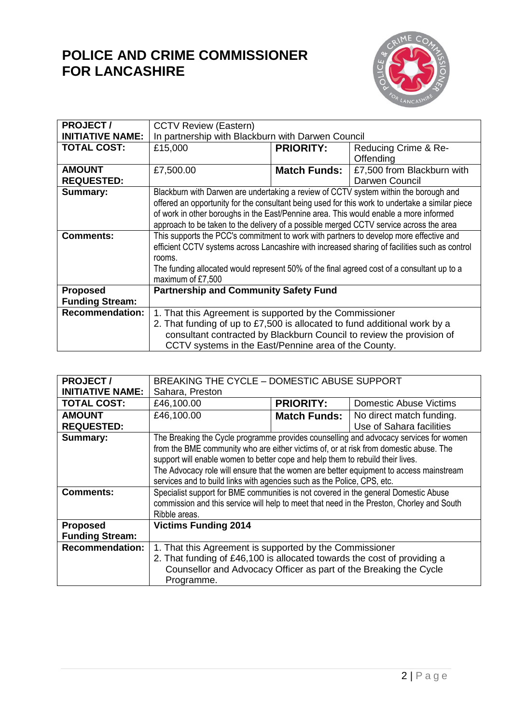

| <b>PROJECT/</b>         | <b>CCTV Review (Eastern)</b>                                                                    |                     |                            |
|-------------------------|-------------------------------------------------------------------------------------------------|---------------------|----------------------------|
| <b>INITIATIVE NAME:</b> | In partnership with Blackburn with Darwen Council                                               |                     |                            |
| <b>TOTAL COST:</b>      | £15,000                                                                                         | <b>PRIORITY:</b>    | Reducing Crime & Re-       |
|                         |                                                                                                 |                     | Offending                  |
| <b>AMOUNT</b>           | £7,500.00                                                                                       | <b>Match Funds:</b> | £7,500 from Blackburn with |
| <b>REQUESTED:</b>       |                                                                                                 |                     | Darwen Council             |
| Summary:                | Blackburn with Darwen are undertaking a review of CCTV system within the borough and            |                     |                            |
|                         | offered an opportunity for the consultant being used for this work to undertake a similar piece |                     |                            |
|                         | of work in other boroughs in the East/Pennine area. This would enable a more informed           |                     |                            |
|                         | approach to be taken to the delivery of a possible merged CCTV service across the area          |                     |                            |
| <b>Comments:</b>        | This supports the PCC's commitment to work with partners to develop more effective and          |                     |                            |
|                         | efficient CCTV systems across Lancashire with increased sharing of facilities such as control   |                     |                            |
|                         | rooms.                                                                                          |                     |                            |
|                         | The funding allocated would represent 50% of the final agreed cost of a consultant up to a      |                     |                            |
|                         | maximum of £7,500                                                                               |                     |                            |
| <b>Proposed</b>         | <b>Partnership and Community Safety Fund</b>                                                    |                     |                            |
| <b>Funding Stream:</b>  |                                                                                                 |                     |                            |
| <b>Recommendation:</b>  | 1. That this Agreement is supported by the Commissioner                                         |                     |                            |
|                         | 2. That funding of up to £7,500 is allocated to fund additional work by a                       |                     |                            |
|                         | consultant contracted by Blackburn Council to review the provision of                           |                     |                            |
|                         | CCTV systems in the East/Pennine area of the County.                                            |                     |                            |

| <b>PROJECT/</b>         | BREAKING THE CYCLE - DOMESTIC ABUSE SUPPORT                                               |                     |                          |  |
|-------------------------|-------------------------------------------------------------------------------------------|---------------------|--------------------------|--|
| <b>INITIATIVE NAME:</b> | Sahara, Preston                                                                           |                     |                          |  |
| <b>TOTAL COST:</b>      | £46,100.00<br><b>PRIORITY:</b><br><b>Domestic Abuse Victims</b>                           |                     |                          |  |
| <b>AMOUNT</b>           | £46,100.00                                                                                | <b>Match Funds:</b> | No direct match funding. |  |
| <b>REQUESTED:</b>       |                                                                                           |                     | Use of Sahara facilities |  |
| Summary:                | The Breaking the Cycle programme provides counselling and advocacy services for women     |                     |                          |  |
|                         | from the BME community who are either victims of, or at risk from domestic abuse. The     |                     |                          |  |
|                         | support will enable women to better cope and help them to rebuild their lives.            |                     |                          |  |
|                         | The Advocacy role will ensure that the women are better equipment to access mainstream    |                     |                          |  |
|                         | services and to build links with agencies such as the Police, CPS, etc.                   |                     |                          |  |
| <b>Comments:</b>        | Specialist support for BME communities is not covered in the general Domestic Abuse       |                     |                          |  |
|                         | commission and this service will help to meet that need in the Preston, Chorley and South |                     |                          |  |
|                         | Ribble areas.                                                                             |                     |                          |  |
| <b>Proposed</b>         | <b>Victims Funding 2014</b>                                                               |                     |                          |  |
| <b>Funding Stream:</b>  |                                                                                           |                     |                          |  |
| <b>Recommendation:</b>  | 1. That this Agreement is supported by the Commissioner                                   |                     |                          |  |
|                         | 2. That funding of £46,100 is allocated towards the cost of providing a                   |                     |                          |  |
|                         | Counsellor and Advocacy Officer as part of the Breaking the Cycle                         |                     |                          |  |
|                         | Programme.                                                                                |                     |                          |  |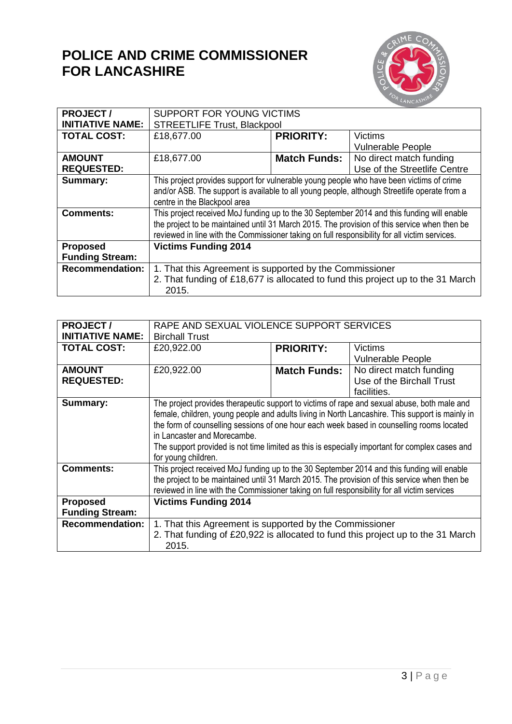

| <b>PROJECT/</b>         | SUPPORT FOR YOUNG VICTIMS                                                                     |                     |                              |
|-------------------------|-----------------------------------------------------------------------------------------------|---------------------|------------------------------|
| <b>INITIATIVE NAME:</b> | <b>STREETLIFE Trust, Blackpool</b>                                                            |                     |                              |
| <b>TOTAL COST:</b>      | £18,677.00                                                                                    | <b>PRIORITY:</b>    | <b>Victims</b>               |
|                         |                                                                                               |                     | <b>Vulnerable People</b>     |
| <b>AMOUNT</b>           | £18,677.00                                                                                    | <b>Match Funds:</b> | No direct match funding      |
| <b>REQUESTED:</b>       |                                                                                               |                     | Use of the Streetlife Centre |
| Summary:                | This project provides support for vulnerable young people who have been victims of crime      |                     |                              |
|                         | and/or ASB. The support is available to all young people, although Streetlife operate from a  |                     |                              |
|                         | centre in the Blackpool area                                                                  |                     |                              |
| <b>Comments:</b>        | This project received MoJ funding up to the 30 September 2014 and this funding will enable    |                     |                              |
|                         | the project to be maintained until 31 March 2015. The provision of this service when then be  |                     |                              |
|                         | reviewed in line with the Commissioner taking on full responsibility for all victim services. |                     |                              |
| <b>Proposed</b>         | <b>Victims Funding 2014</b>                                                                   |                     |                              |
| <b>Funding Stream:</b>  |                                                                                               |                     |                              |
| <b>Recommendation:</b>  | 1. That this Agreement is supported by the Commissioner                                       |                     |                              |
|                         | 2. That funding of £18,677 is allocated to fund this project up to the 31 March               |                     |                              |
|                         | 2015.                                                                                         |                     |                              |

| <b>PROJECT/</b>         | RAPE AND SEXUAL VIOLENCE SUPPORT SERVICES                                                       |                     |                           |
|-------------------------|-------------------------------------------------------------------------------------------------|---------------------|---------------------------|
| <b>INITIATIVE NAME:</b> | <b>Birchall Trust</b>                                                                           |                     |                           |
| <b>TOTAL COST:</b>      | £20,922.00                                                                                      | <b>PRIORITY:</b>    | Victims                   |
|                         |                                                                                                 |                     | <b>Vulnerable People</b>  |
| <b>AMOUNT</b>           | £20,922.00                                                                                      | <b>Match Funds:</b> | No direct match funding   |
| <b>REQUESTED:</b>       |                                                                                                 |                     | Use of the Birchall Trust |
|                         |                                                                                                 |                     | facilities.               |
| Summary:                | The project provides therapeutic support to victims of rape and sexual abuse, both male and     |                     |                           |
|                         | female, children, young people and adults living in North Lancashire. This support is mainly in |                     |                           |
|                         | the form of counselling sessions of one hour each week based in counselling rooms located       |                     |                           |
|                         | in Lancaster and Morecambe.                                                                     |                     |                           |
|                         | The support provided is not time limited as this is especially important for complex cases and  |                     |                           |
|                         | for young children.                                                                             |                     |                           |
| <b>Comments:</b>        | This project received MoJ funding up to the 30 September 2014 and this funding will enable      |                     |                           |
|                         | the project to be maintained until 31 March 2015. The provision of this service when then be    |                     |                           |
|                         | reviewed in line with the Commissioner taking on full responsibility for all victim services    |                     |                           |
| <b>Proposed</b>         | <b>Victims Funding 2014</b>                                                                     |                     |                           |
| <b>Funding Stream:</b>  |                                                                                                 |                     |                           |
| <b>Recommendation:</b>  | 1. That this Agreement is supported by the Commissioner                                         |                     |                           |
|                         | 2. That funding of £20,922 is allocated to fund this project up to the 31 March                 |                     |                           |
|                         | 2015.                                                                                           |                     |                           |